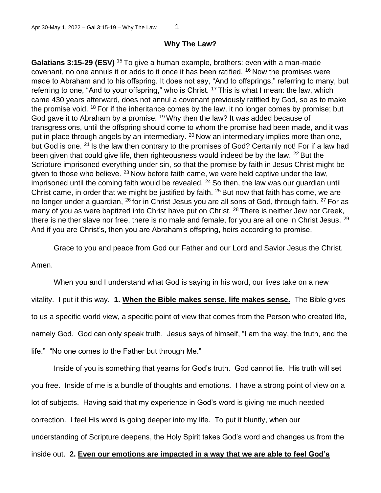## **Why The Law?**

**Galatians 3:15-29 (ESV)** <sup>15</sup>To give a human example, brothers: even with a man-made covenant, no one annuls it or adds to it once it has been ratified.  $16$  Now the promises were made to Abraham and to his offspring. It does not say, "And to offsprings," referring to many, but referring to one, "And to your offspring," who is Christ. <sup>17</sup> This is what I mean: the law, which came 430 years afterward, does not annul a covenant previously ratified by God, so as to make the promise void. <sup>18</sup> For if the inheritance comes by the law, it no longer comes by promise; but God gave it to Abraham by a promise. <sup>19</sup> Why then the law? It was added because of transgressions, until the offspring should come to whom the promise had been made, and it was put in place through angels by an intermediary. <sup>20</sup> Now an intermediary implies more than one, but God is one. <sup>21</sup> Is the law then contrary to the promises of God? Certainly not! For if a law had been given that could give life, then righteousness would indeed be by the law. <sup>22</sup> But the Scripture imprisoned everything under sin, so that the promise by faith in Jesus Christ might be given to those who believe.  $^{23}$  Now before faith came, we were held captive under the law, imprisoned until the coming faith would be revealed.  $24$  So then, the law was our guardian until Christ came, in order that we might be justified by faith.  $25$  But now that faith has come, we are no longer under a guardian,  $^{26}$  for in Christ Jesus you are all sons of God, through faith.  $^{27}$  For as many of you as were baptized into Christ have put on Christ. <sup>28</sup> There is neither Jew nor Greek, there is neither slave nor free, there is no male and female, for you are all one in Christ Jesus. <sup>29</sup> And if you are Christ's, then you are Abraham's offspring, heirs according to promise.

Grace to you and peace from God our Father and our Lord and Savior Jesus the Christ.

Amen.

When you and I understand what God is saying in his word, our lives take on a new vitality. I put it this way. **1. When the Bible makes sense, life makes sense.** The Bible gives to us a specific world view, a specific point of view that comes from the Person who created life, namely God. God can only speak truth. Jesus says of himself, "I am the way, the truth, and the life." "No one comes to the Father but through Me."

Inside of you is something that yearns for God's truth. God cannot lie. His truth will set you free. Inside of me is a bundle of thoughts and emotions. I have a strong point of view on a lot of subjects. Having said that my experience in God's word is giving me much needed correction. I feel His word is going deeper into my life. To put it bluntly, when our understanding of Scripture deepens, the Holy Spirit takes God's word and changes us from the inside out. **2. Even our emotions are impacted in a way that we are able to feel God's**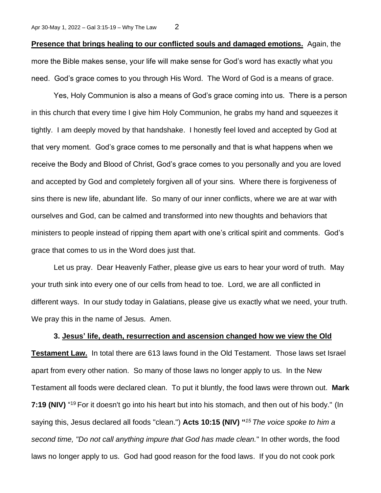**Presence that brings healing to our conflicted souls and damaged emotions.** Again, the more the Bible makes sense, your life will make sense for God's word has exactly what you need. God's grace comes to you through His Word. The Word of God is a means of grace.

Yes, Holy Communion is also a means of God's grace coming into us. There is a person in this church that every time I give him Holy Communion, he grabs my hand and squeezes it tightly. I am deeply moved by that handshake. I honestly feel loved and accepted by God at that very moment. God's grace comes to me personally and that is what happens when we receive the Body and Blood of Christ, God's grace comes to you personally and you are loved and accepted by God and completely forgiven all of your sins. Where there is forgiveness of sins there is new life, abundant life. So many of our inner conflicts, where we are at war with ourselves and God, can be calmed and transformed into new thoughts and behaviors that ministers to people instead of ripping them apart with one's critical spirit and comments. God's grace that comes to us in the Word does just that.

Let us pray. Dear Heavenly Father, please give us ears to hear your word of truth. May your truth sink into every one of our cells from head to toe. Lord, we are all conflicted in different ways. In our study today in Galatians, please give us exactly what we need, your truth. We pray this in the name of Jesus. Amen.

## **3. Jesus' life, death, resurrection and ascension changed how we view the Old**

**Testament Law.** In total there are 613 laws found in the Old Testament. Those laws set Israel apart from every other nation. So many of those laws no longer apply to us. In the New Testament all foods were declared clean. To put it bluntly, the food laws were thrown out. **Mark**  7:19 (NIV) "<sup>19</sup> For it doesn't go into his heart but into his stomach, and then out of his body." (In saying this, Jesus declared all foods "clean.") **Acts 10:15 (NIV) "** *<sup>15</sup>The voice spoke to him a second time, "Do not call anything impure that God has made clean.*" In other words, the food laws no longer apply to us. God had good reason for the food laws. If you do not cook pork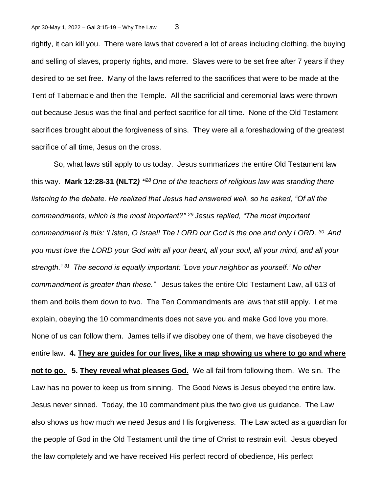rightly, it can kill you. There were laws that covered a lot of areas including clothing, the buying and selling of slaves, property rights, and more. Slaves were to be set free after 7 years if they desired to be set free. Many of the laws referred to the sacrifices that were to be made at the Tent of Tabernacle and then the Temple. All the sacrificial and ceremonial laws were thrown out because Jesus was the final and perfect sacrifice for all time. None of the Old Testament sacrifices brought about the forgiveness of sins. They were all a foreshadowing of the greatest sacrifice of all time, Jesus on the cross.

So, what laws still apply to us today. Jesus summarizes the entire Old Testament law this way. **Mark 12:28-31 (NLT2***) " <sup>28</sup>One of the teachers of religious law was standing there listening to the debate. He realized that Jesus had answered well, so he asked, "Of all the commandments, which is the most important?" <sup>29</sup>Jesus replied, "The most important commandment is this: 'Listen, O Israel! The LORD our God is the one and only LORD. <sup>30</sup>And you must love the LORD your God with all your heart, all your soul, all your mind, and all your strength.' <sup>31</sup>The second is equally important: 'Love your neighbor as yourself.' No other commandment is greater than these."* Jesus takes the entire Old Testament Law, all 613 of them and boils them down to two. The Ten Commandments are laws that still apply. Let me explain, obeying the 10 commandments does not save you and make God love you more. None of us can follow them. James tells if we disobey one of them, we have disobeyed the entire law. **4. They are guides for our lives, like a map showing us where to go and where not to go. 5. They reveal what pleases God.** We all fail from following them. We sin. The Law has no power to keep us from sinning. The Good News is Jesus obeyed the entire law. Jesus never sinned. Today, the 10 commandment plus the two give us guidance. The Law also shows us how much we need Jesus and His forgiveness. The Law acted as a guardian for the people of God in the Old Testament until the time of Christ to restrain evil. Jesus obeyed the law completely and we have received His perfect record of obedience, His perfect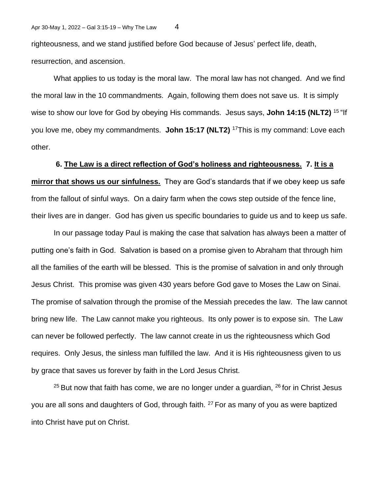righteousness, and we stand justified before God because of Jesus' perfect life, death, resurrection, and ascension.

What applies to us today is the moral law. The moral law has not changed. And we find the moral law in the 10 commandments. Again, following them does not save us. It is simply wise to show our love for God by obeying His commands. Jesus says, **John 14:15 (NLT2)** <sup>15</sup>"If you love me, obey my commandments. **John 15:17 (NLT2)** <sup>17</sup>This is my command: Love each other.

**6. The Law is a direct reflection of God's holiness and righteousness. 7. It is a mirror that shows us our sinfulness.** They are God's standards that if we obey keep us safe from the fallout of sinful ways. On a dairy farm when the cows step outside of the fence line, their lives are in danger. God has given us specific boundaries to guide us and to keep us safe.

In our passage today Paul is making the case that salvation has always been a matter of putting one's faith in God. Salvation is based on a promise given to Abraham that through him all the families of the earth will be blessed. This is the promise of salvation in and only through Jesus Christ. This promise was given 430 years before God gave to Moses the Law on Sinai. The promise of salvation through the promise of the Messiah precedes the law. The law cannot bring new life. The Law cannot make you righteous. Its only power is to expose sin. The Law can never be followed perfectly. The law cannot create in us the righteousness which God requires. Only Jesus, the sinless man fulfilled the law. And it is His righteousness given to us by grace that saves us forever by faith in the Lord Jesus Christ.

 $25$  But now that faith has come, we are no longer under a guardian,  $26$  for in Christ Jesus you are all sons and daughters of God, through faith. <sup>27</sup> For as many of you as were baptized into Christ have put on Christ.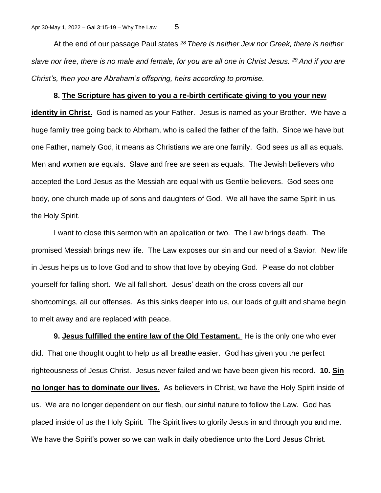At the end of our passage Paul states *<sup>28</sup>There is neither Jew nor Greek, there is neither slave nor free, there is no male and female, for you are all one in Christ Jesus. <sup>29</sup>And if you are Christ's, then you are Abraham's offspring, heirs according to promise.* 

## **8. The Scripture has given to you a re-birth certificate giving to you your new**

**identity in Christ.** God is named as your Father. Jesus is named as your Brother. We have a huge family tree going back to Abrham, who is called the father of the faith. Since we have but one Father, namely God, it means as Christians we are one family. God sees us all as equals. Men and women are equals. Slave and free are seen as equals. The Jewish believers who accepted the Lord Jesus as the Messiah are equal with us Gentile believers. God sees one body, one church made up of sons and daughters of God. We all have the same Spirit in us, the Holy Spirit.

I want to close this sermon with an application or two. The Law brings death. The promised Messiah brings new life. The Law exposes our sin and our need of a Savior. New life in Jesus helps us to love God and to show that love by obeying God. Please do not clobber yourself for falling short. We all fall short. Jesus' death on the cross covers all our shortcomings, all our offenses. As this sinks deeper into us, our loads of guilt and shame begin to melt away and are replaced with peace.

**9. Jesus fulfilled the entire law of the Old Testament.** He is the only one who ever did. That one thought ought to help us all breathe easier. God has given you the perfect righteousness of Jesus Christ. Jesus never failed and we have been given his record. **10. Sin no longer has to dominate our lives.** As believers in Christ, we have the Holy Spirit inside of us. We are no longer dependent on our flesh, our sinful nature to follow the Law. God has placed inside of us the Holy Spirit. The Spirit lives to glorify Jesus in and through you and me. We have the Spirit's power so we can walk in daily obedience unto the Lord Jesus Christ.